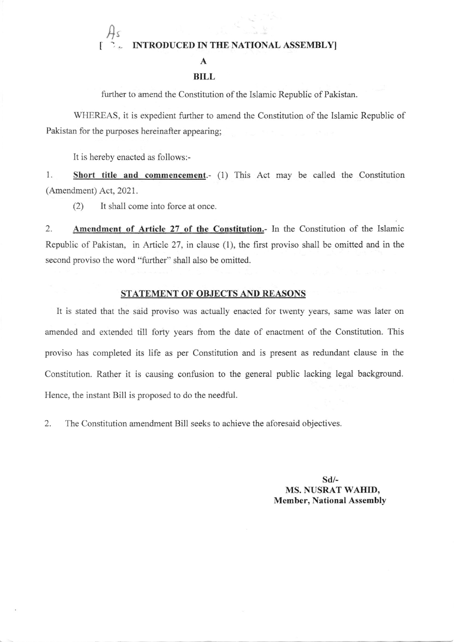## A<sup>s</sup> INTRODUCED IN THE NATIONAL ASSEMBLY]

#### A

### BILL

further to amend the Constitution of the Islamic Republic of Pakistan.

WHEREAS, it is expedient firther to amend the Constitution of the Islamic Republic of Pakistan for the purposes hereinafter appearing;

It is hereby enacted as follows:-

1. Short title and commencement.- (1) This Act may be called the Constitution (Amendment) Act,2021.

(2) It shall come into force at once.

2. Amendment of Article 27 of the Constitution.- In the Constitution of the Islamic Republic of Pakistan, in Article 27, in clause (1), the first proviso shall be omitted and in the second proviso the word "further" shall also be omitted.

# STATEMENT OF OBJECTS AND REASONS

It is stated that the said proviso was actually enacted for twenty years, same was later on amended and extended till forry years from the date of enactment of the Constitution. This proviso has completed its life as per Constitution and is present as redundant clause in the Constitution. Rather it is causing confusion to the general public lacking legal background. Hence, the instant Bill is proposed to do the needful.

2. The Constitution amendment Bill seeks to achieve the aforesaid objectives.

sd/- MS. NUSRAT WAHID, Member, National Assembly